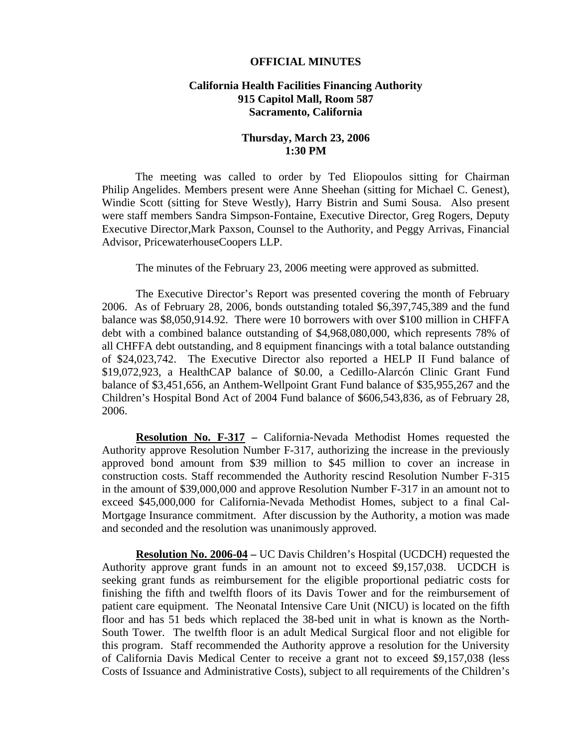## **OFFICIAL MINUTES**

## **California Health Facilities Financing Authority 915 Capitol Mall, Room 587 Sacramento, California**

## **Thursday, March 23, 2006 1:30 PM**

 The meeting was called to order by Ted Eliopoulos sitting for Chairman Philip Angelides. Members present were Anne Sheehan (sitting for Michael C. Genest), Windie Scott (sitting for Steve Westly), Harry Bistrin and Sumi Sousa. Also present were staff members Sandra Simpson-Fontaine, Executive Director, Greg Rogers, Deputy Executive Director,Mark Paxson, Counsel to the Authority, and Peggy Arrivas, Financial Advisor, PricewaterhouseCoopers LLP.

The minutes of the February 23, 2006 meeting were approved as submitted.

 The Executive Director's Report was presented covering the month of February 2006. As of February 28, 2006, bonds outstanding totaled \$6,397,745,389 and the fund balance was \$8,050,914.92. There were 10 borrowers with over \$100 million in CHFFA debt with a combined balance outstanding of \$4,968,080,000, which represents 78% of all CHFFA debt outstanding, and 8 equipment financings with a total balance outstanding of \$24,023,742. The Executive Director also reported a HELP II Fund balance of \$19,072,923, a HealthCAP balance of \$0.00, a Cedillo-Alarcón Clinic Grant Fund balance of \$3,451,656, an Anthem-Wellpoint Grant Fund balance of \$35,955,267 and the Children's Hospital Bond Act of 2004 Fund balance of \$606,543,836, as of February 28, 2006.

**Resolution No. F-317 –** California-Nevada Methodist Homes requested the Authority approve Resolution Number F-317, authorizing the increase in the previously approved bond amount from \$39 million to \$45 million to cover an increase in construction costs. Staff recommended the Authority rescind Resolution Number F-315 in the amount of \$39,000,000 and approve Resolution Number F-317 in an amount not to exceed \$45,000,000 for California-Nevada Methodist Homes, subject to a final Cal-Mortgage Insurance commitment. After discussion by the Authority, a motion was made and seconded and the resolution was unanimously approved.

**Resolution No. 2006-04 –** UC Davis Children's Hospital (UCDCH) requested the Authority approve grant funds in an amount not to exceed \$9,157,038. UCDCH is seeking grant funds as reimbursement for the eligible proportional pediatric costs for finishing the fifth and twelfth floors of its Davis Tower and for the reimbursement of patient care equipment. The Neonatal Intensive Care Unit (NICU) is located on the fifth floor and has 51 beds which replaced the 38-bed unit in what is known as the North-South Tower. The twelfth floor is an adult Medical Surgical floor and not eligible for this program. Staff recommended the Authority approve a resolution for the University of California Davis Medical Center to receive a grant not to exceed \$9,157,038 (less Costs of Issuance and Administrative Costs), subject to all requirements of the Children's